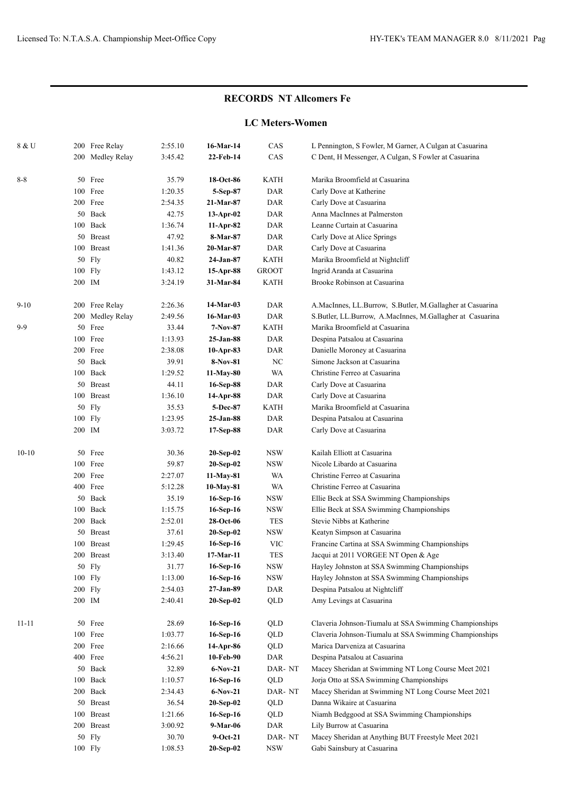### **LC Meters-Women**

| 8 & U     |     | 200 Free Relay   | 2:55.10 | 16-Mar-14   | CAS              | L Pennington, S Fowler, M Garner, A Culgan at Casuarina   |
|-----------|-----|------------------|---------|-------------|------------------|-----------------------------------------------------------|
|           |     | 200 Medley Relay | 3:45.42 | 22-Feb-14   | CAS              | C Dent, H Messenger, A Culgan, S Fowler at Casuarina      |
|           |     |                  |         |             |                  |                                                           |
| $8-8$     |     | 50 Free          | 35.79   | 18-Oct-86   | <b>KATH</b>      | Marika Broomfield at Casuarina                            |
|           |     | 100 Free         | 1:20.35 | 5-Sep-87    | DAR              | Carly Dove at Katherine                                   |
|           |     | 200 Free         | 2:54.35 | 21-Mar-87   | <b>DAR</b>       | Carly Dove at Casuarina                                   |
|           |     | 50 Back          | 42.75   | $13-Apr-02$ | <b>DAR</b>       | Anna MacInnes at Palmerston                               |
|           |     | 100 Back         | 1:36.74 | 11-Apr-82   | <b>DAR</b>       | Leanne Curtain at Casuarina                               |
|           |     | 50 Breast        | 47.92   | 8-Mar-87    | <b>DAR</b>       | Carly Dove at Alice Springs                               |
|           |     | 100 Breast       | 1:41.36 | 20-Mar-87   | DAR              | Carly Dove at Casuarina                                   |
|           |     | 50 Fly           | 40.82   | 24-Jan-87   | KATH             | Marika Broomfield at Nightcliff                           |
|           |     | 100 Fly          | 1:43.12 | 15-Apr-88   | <b>GROOT</b>     | Ingrid Aranda at Casuarina                                |
|           |     | 200 IM           | 3:24.19 | 31-Mar-84   | KATH             | Brooke Robinson at Casuarina                              |
| $9-10$    |     | 200 Free Relay   | 2:26.36 | 14-Mar-03   | DAR              | A.MacInnes, LL.Burrow, S.Butler, M.Gallagher at Casuarina |
|           |     | 200 Medley Relay | 2:49.56 | 16-Mar-03   | <b>DAR</b>       | S.Butler, LL.Burrow, A.MacInnes, M.Gallagher at Casuarina |
| $9-9$     |     | 50 Free          | 33.44   | $7-Nov-87$  | KATH             | Marika Broomfield at Casuarina                            |
|           |     | 100 Free         | 1:13.93 | 25-Jan-88   | DAR              | Despina Patsalou at Casuarina                             |
|           |     | 200 Free         | 2:38.08 | 10-Apr-83   | DAR              | Danielle Moroney at Casuarina                             |
|           |     | 50 Back          | 39.91   | 8-Nov-81    | $_{\mathrm{NC}}$ | Simone Jackson at Casuarina                               |
|           |     | 100 Back         | 1:29.52 | 11-May-80   | WA               | Christine Ferreo at Casuarina                             |
|           |     | 50 Breast        | 44.11   | 16-Sep-88   | <b>DAR</b>       | Carly Dove at Casuarina                                   |
|           |     | 100 Breast       | 1:36.10 | 14-Apr-88   | DAR              | Carly Dove at Casuarina                                   |
|           |     | 50 Fly           | 35.53   | 5-Dec-87    | <b>KATH</b>      | Marika Broomfield at Casuarina                            |
|           |     | 100 Fly          | 1:23.95 | 25-Jan-88   | <b>DAR</b>       | Despina Patsalou at Casuarina                             |
|           |     | 200 IM           | 3:03.72 | 17-Sep-88   | DAR              | Carly Dove at Casuarina                                   |
| $10 - 10$ |     | 50 Free          | 30.36   | $20-Sep-02$ | <b>NSW</b>       | Kailah Elliott at Casuarina                               |
|           |     | 100 Free         | 59.87   | 20-Sep-02   | NSW              | Nicole Libardo at Casuarina                               |
|           |     | 200 Free         | 2:27.07 | 11-May-81   | WA               | Christine Ferreo at Casuarina                             |
|           |     | 400 Free         | 5:12.28 | 10-May-81   | WA               | Christine Ferreo at Casuarina                             |
|           |     | 50 Back          | 35.19   | 16-Sep-16   | <b>NSW</b>       | Ellie Beck at SSA Swimming Championships                  |
|           |     | 100 Back         | 1:15.75 | 16-Sep-16   | <b>NSW</b>       | Ellie Beck at SSA Swimming Championships                  |
|           |     | 200 Back         | 2:52.01 | 28-Oct-06   | TES              | Stevie Nibbs at Katherine                                 |
|           |     | 50 Breast        | 37.61   | 20-Sep-02   | <b>NSW</b>       | Keatyn Simpson at Casuarina                               |
|           | 100 | <b>Breast</b>    | 1:29.45 | 16-Sep-16   | <b>VIC</b>       | Francine Cartina at SSA Swimming Championships            |
|           |     | 200 Breast       | 3:13.40 | 17-Mar-11   | <b>TES</b>       | Jacqui at 2011 VORGEE NT Open & Age                       |
|           |     | 50 Fly           | 31.77   | 16-Sep-16   | $_{\rm NSW}$     | Hayley Johnston at SSA Swimming Championships             |
|           |     | 100 Fly          | 1:13.00 | 16-Sep-16   | <b>NSW</b>       | Hayley Johnston at SSA Swimming Championships             |
|           |     | 200 Fly          | 2:54.03 | $27-Jan-89$ | DAR              | Despina Patsalou at Nightcliff                            |
|           |     | 200 IM           | 2:40.41 | $20-Sep-02$ | QLD              | Amy Levings at Casuarina                                  |
| $11 - 11$ |     | 50 Free          | 28.69   | 16-Sep-16   | QLD              | Claveria Johnson-Tiumalu at SSA Swimming Championships    |
|           |     | 100 Free         | 1:03.77 | 16-Sep-16   | QLD              | Claveria Johnson-Tiumalu at SSA Swimming Championships    |
|           |     | 200 Free         | 2:16.66 | 14-Apr-86   | QLD              | Marica Darveniza at Casuarina                             |
|           |     | 400 Free         | 4:56.21 | 10-Feb-90   | DAR              | Despina Patsalou at Casuarina                             |
|           |     | 50 Back          | 32.89   | $6-Nov-21$  | DAR-NT           | Macey Sheridan at Swimming NT Long Course Meet 2021       |
|           |     | 100 Back         | 1:10.57 | 16-Sep-16   | QLD              | Jorja Otto at SSA Swimming Championships                  |
|           |     | 200 Back         | 2:34.43 | $6-Nov-21$  | DAR-NT           | Macey Sheridan at Swimming NT Long Course Meet 2021       |
|           |     | 50 Breast        | 36.54   | $20-Sep-02$ | QLD              | Danna Wikaire at Casuarina                                |
|           |     | 100 Breast       | 1:21.66 | 16-Sep-16   | QLD              | Niamh Bedggood at SSA Swimming Championships              |
|           |     | 200 Breast       | 3:00.92 | 9-Mar-06    | DAR              | Lily Burrow at Casuarina                                  |
|           |     | 50 Fly           | 30.70   | $9-Oct-21$  | DAR-NT           | Macey Sheridan at Anything BUT Freestyle Meet 2021        |
|           |     | 100 Fly          | 1:08.53 | $20-Sep-02$ | <b>NSW</b>       | Gabi Sainsbury at Casuarina                               |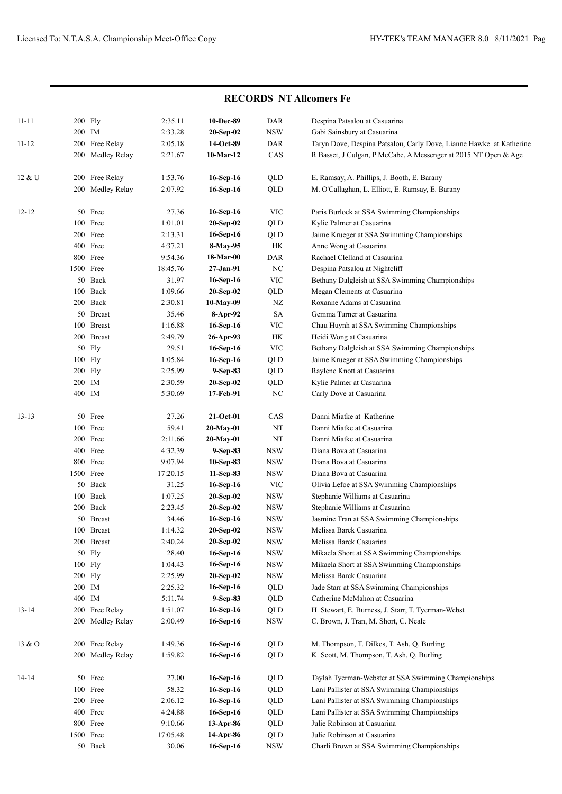| <b>RECORDS NT Allcomers Fe</b> |           |                  |          |             |              |                                                                     |  |
|--------------------------------|-----------|------------------|----------|-------------|--------------|---------------------------------------------------------------------|--|
| $11 - 11$                      | 200 Fly   |                  | 2:35.11  | 10-Dec-89   | DAR          | Despina Patsalou at Casuarina                                       |  |
|                                | 200 IM    |                  | 2:33.28  | 20-Sep-02   | <b>NSW</b>   | Gabi Sainsbury at Casuarina                                         |  |
| $11 - 12$                      | 200       | Free Relay       | 2:05.18  | 14-Oct-89   | DAR          | Taryn Dove, Despina Patsalou, Carly Dove, Lianne Hawke at Katherine |  |
|                                |           | 200 Medley Relay | 2:21.67  | $10-Mar-12$ | CAS          | R Basset, J Culgan, P McCabe, A Messenger at 2015 NT Open & Age     |  |
| 12 & U                         | 200       | Free Relay       | 1:53.76  | 16-Sep-16   | QLD          | E. Ramsay, A. Phillips, J. Booth, E. Barany                         |  |
|                                |           | 200 Medley Relay | 2:07.92  | 16-Sep-16   | QLD          | M. O'Callaghan, L. Elliott, E. Ramsay, E. Barany                    |  |
| $12 - 12$                      |           | 50 Free          | 27.36    | 16-Sep-16   | VIC          | Paris Burlock at SSA Swimming Championships                         |  |
|                                |           | 100 Free         | 1:01.01  | 20-Sep-02   | QLD          | Kylie Palmer at Casuarina                                           |  |
|                                |           | 200 Free         | 2:13.31  | 16-Sep-16   | QLD          | Jaime Krueger at SSA Swimming Championships                         |  |
|                                |           | 400 Free         | 4:37.21  | 8-May-95    | HK           | Anne Wong at Casuarina                                              |  |
|                                |           | 800 Free         | 9:54.36  | 18-Mar-00   | DAR          | Rachael Clelland at Casaurina                                       |  |
|                                | 1500 Free |                  | 18:45.76 | 27-Jan-91   | NC           | Despina Patsalou at Nightcliff                                      |  |
|                                |           | 50 Back          | 31.97    | 16-Sep-16   | <b>VIC</b>   | Bethany Dalgleish at SSA Swimming Championships                     |  |
|                                | 100       | Back             | 1:09.66  | 20-Sep-02   | QLD          | Megan Clements at Casuarina                                         |  |
|                                |           | 200 Back         | 2:30.81  | 10-May-09   | NZ           | Roxanne Adams at Casuarina                                          |  |
|                                |           | 50 Breast        | 35.46    | 8-Apr-92    | <b>SA</b>    | Gemma Turner at Casuarina                                           |  |
|                                | 100       | <b>Breast</b>    | 1:16.88  | 16-Sep-16   | <b>VIC</b>   | Chau Huynh at SSA Swimming Championships                            |  |
|                                |           | 200 Breast       | 2:49.79  | 26-Apr-93   | HK           | Heidi Wong at Casuarina                                             |  |
|                                |           | 50 Fly           | 29.51    | 16-Sep-16   | <b>VIC</b>   | Bethany Dalgleish at SSA Swimming Championships                     |  |
|                                | 100 Fly   |                  | 1:05.84  | $16-Sep-16$ | QLD          | Jaime Krueger at SSA Swimming Championships                         |  |
|                                | 200 Fly   |                  | 2:25.99  | 9-Sep-83    | QLD          | Raylene Knott at Casuarina                                          |  |
|                                | 200 IM    |                  | 2:30.59  | 20-Sep-02   | QLD          | Kylie Palmer at Casuarina                                           |  |
|                                | 400 IM    |                  | 5:30.69  | 17-Feb-91   | NC           | Carly Dove at Casuarina                                             |  |
| $13-13$                        | 50        | Free             | 27.26    | $21-Oct-01$ | CAS          | Danni Miatke at Katherine                                           |  |
|                                |           | 100 Free         | 59.41    | 20-May-01   | $_{\rm NT}$  | Danni Miatke at Casuarina                                           |  |
|                                |           | 200 Free         | 2:11.66  | 20-May-01   | $_{\rm NT}$  | Danni Miatke at Casuarina                                           |  |
|                                |           | 400 Free         | 4:32.39  | 9-Sep-83    | <b>NSW</b>   | Diana Bova at Casuarina                                             |  |
|                                |           | 800 Free         | 9:07.94  | 10-Sep-83   | <b>NSW</b>   | Diana Bova at Casuarina                                             |  |
|                                | 1500 Free |                  | 17:20.15 | 11-Sep-83   | <b>NSW</b>   | Diana Bova at Casuarina                                             |  |
|                                |           | 50 Back          | 31.25    | 16-Sep-16   | <b>VIC</b>   | Olivia Lefoe at SSA Swimming Championships                          |  |
|                                |           | 100 Back         | 1:07.25  | 20-Sep-02   | <b>NSW</b>   | Stephanie Williams at Casuarina                                     |  |
|                                |           | 200 Back         | 2:23.45  | 20-Sep-02   | <b>NSW</b>   | Stephanie Williams at Casuarina                                     |  |
|                                |           | 50 Breast        | 34.46    | 16-Sep-16   | $_{\rm NSW}$ | Jasmine Tran at SSA Swimming Championships                          |  |
|                                |           | 100 Breast       | 1:14.32  | 20-Sep-02   | <b>NSW</b>   | Melissa Barck Casuarina                                             |  |
|                                |           | 200 Breast       | 2:40.24  | 20-Sep-02   | <b>NSW</b>   | Melissa Barck Casuarina                                             |  |
|                                |           | 50 Fly           | 28.40    | 16-Sep-16   | <b>NSW</b>   | Mikaela Short at SSA Swimming Championships                         |  |
|                                | 100 Fly   |                  | 1:04.43  | 16-Sep-16   | <b>NSW</b>   | Mikaela Short at SSA Swimming Championships                         |  |
|                                | 200 Fly   |                  | 2:25.99  | 20-Sep-02   | <b>NSW</b>   | Melissa Barck Casuarina                                             |  |
|                                | 200 IM    |                  | 2:25.32  | 16-Sep-16   | QLD          | Jade Starr at SSA Swimming Championships                            |  |
|                                | 400 IM    |                  | 5:11.74  | 9-Sep-83    | QLD          | Catherine McMahon at Casuarina                                      |  |
| $13 - 14$                      |           | 200 Free Relay   | 1:51.07  | 16-Sep-16   | QLD          | H. Stewart, E. Burness, J. Starr, T. Tyerman-Webst                  |  |
|                                |           | 200 Medley Relay | 2:00.49  | 16-Sep-16   | <b>NSW</b>   | C. Brown, J. Tran, M. Short, C. Neale                               |  |
| $13 \& O$                      |           | 200 Free Relay   | 1:49.36  | 16-Sep-16   | QLD          | M. Thompson, T. Dilkes, T. Ash, Q. Burling                          |  |
|                                |           | 200 Medley Relay | 1:59.82  | 16-Sep-16   | QLD          | K. Scott, M. Thompson, T. Ash, Q. Burling                           |  |
| 14-14                          |           | 50 Free          | 27.00    | 16-Sep-16   | QLD          | Taylah Tyerman-Webster at SSA Swimming Championships                |  |
|                                |           | 100 Free         | 58.32    | 16-Sep-16   | QLD          | Lani Pallister at SSA Swimming Championships                        |  |
|                                |           | 200 Free         | 2:06.12  | $16-Sep-16$ | QLD          | Lani Pallister at SSA Swimming Championships                        |  |
|                                |           | 400 Free         | 4:24.88  | $16-Sep-16$ | QLD          | Lani Pallister at SSA Swimming Championships                        |  |
|                                |           | 800 Free         | 9:10.66  | 13-Apr-86   | QLD          | Julie Robinson at Casuarina                                         |  |
|                                | 1500 Free |                  | 17:05.48 | 14-Apr-86   | QLD          | Julie Robinson at Casuarina                                         |  |
|                                |           | 50 Back          | 30.06    | $16-Sep-16$ | <b>NSW</b>   | Charli Brown at SSA Swimming Championships                          |  |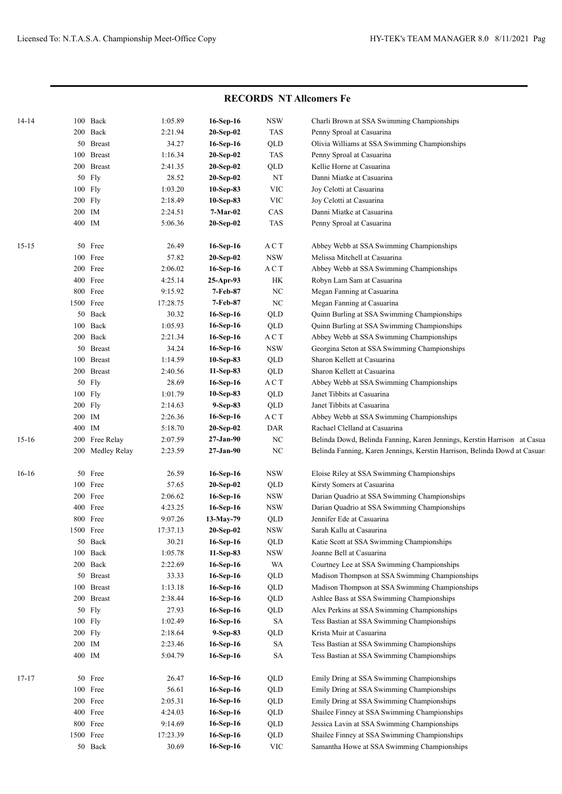|           |           |                         |                  |                        |                  | IVEC OIZD'S TAT AIROMETS LE                                                                  |
|-----------|-----------|-------------------------|------------------|------------------------|------------------|----------------------------------------------------------------------------------------------|
| 14-14     |           | 100 Back                | 1:05.89          | 16-Sep-16              | <b>NSW</b>       | Charli Brown at SSA Swimming Championships                                                   |
|           |           | 200 Back                | 2:21.94          | $20-Sep-02$            | <b>TAS</b>       | Penny Sproal at Casuarina                                                                    |
|           |           | 50 Breast               | 34.27            | 16-Sep-16              | QLD              | Olivia Williams at SSA Swimming Championships                                                |
|           |           | 100 Breast              | 1:16.34          | 20-Sep-02              | <b>TAS</b>       | Penny Sproal at Casuarina                                                                    |
|           |           | 200 Breast              | 2:41.35          | 20-Sep-02              | QLD              | Kellie Horne at Casuarina                                                                    |
|           |           | 50 Fly                  | 28.52            | 20-Sep-02              | NT               | Danni Miatke at Casuarina                                                                    |
|           | 100 Fly   |                         | 1:03.20          | $10-Sep-83$            | <b>VIC</b>       | Joy Celotti at Casuarina                                                                     |
|           | 200 Fly   |                         | 2:18.49          | 10-Sep-83              | <b>VIC</b>       | Joy Celotti at Casuarina                                                                     |
|           | 200 IM    |                         | 2:24.51          | $7-Mar-02$             | CAS              | Danni Miatke at Casuarina                                                                    |
|           | 400 IM    |                         | 5:06.36          | 20-Sep-02              | <b>TAS</b>       | Penny Sproal at Casuarina                                                                    |
|           |           |                         |                  |                        |                  |                                                                                              |
| $15 - 15$ |           | 50 Free                 | 26.49            | 16-Sep-16              | A C T            | Abbey Webb at SSA Swimming Championships                                                     |
|           |           | 100 Free                | 57.82            | $20-Sep-02$            | <b>NSW</b>       | Melissa Mitchell at Casuarina                                                                |
|           |           | 200 Free                | 2:06.02          | 16-Sep-16              | ACT              | Abbey Webb at SSA Swimming Championships                                                     |
|           |           | 400 Free                | 4:25.14          | $25-Apr-93$            | <b>HK</b>        | Robyn Lam Sam at Casuarina                                                                   |
|           |           | 800 Free                | 9:15.92          | 7-Feb-87               | NC               | Megan Fanning at Casuarina                                                                   |
|           | 1500 Free |                         | 17:28.75         | 7-Feb-87               | NC               | Megan Fanning at Casuarina                                                                   |
|           |           | 50 Back                 | 30.32            | 16-Sep-16              | QLD              | Quinn Burling at SSA Swimming Championships                                                  |
|           |           | 100 Back                | 1:05.93          | 16-Sep-16              | QLD              | Quinn Burling at SSA Swimming Championships                                                  |
|           |           | 200 Back                | 2:21.34          | 16-Sep-16              | A C T            | Abbey Webb at SSA Swimming Championships                                                     |
|           |           | 50 Breast               | 34.24            | 16-Sep-16              | <b>NSW</b>       | Georgina Seton at SSA Swimming Championships                                                 |
|           |           | 100 Breast              | 1:14.59          | $10-Sep-83$            | QLD              | Sharon Kellett at Casuarina                                                                  |
|           |           | 200 Breast              | 2:40.56          | 11-Sep-83              | QLD              | Sharon Kellett at Casuarina                                                                  |
|           |           | 50 Fly                  | 28.69            | 16-Sep-16              | ACT              | Abbey Webb at SSA Swimming Championships                                                     |
|           | 100 Fly   |                         | 1:01.79          | 10-Sep-83              | QLD              | Janet Tibbits at Casuarina                                                                   |
|           | 200 Fly   |                         | 2:14.63          | 9-Sep-83               | QLD              | Janet Tibbits at Casuarina                                                                   |
|           | 200 IM    |                         | 2:26.36          | 16-Sep-16              | ACT              | Abbey Webb at SSA Swimming Championships                                                     |
|           | 400 IM    |                         | 5:18.70          | $20-Sep-02$            | DAR              | Rachael Clelland at Casuarina                                                                |
| $15-16$   |           | 200 Free Relay          | 2:07.59          | 27-Jan-90              | $_{\mathrm{NC}}$ | Belinda Dowd, Belinda Fanning, Karen Jennings, Kerstin Harrison at Casua                     |
|           |           | 200 Medley Relay        | 2:23.59          | 27-Jan-90              | $_{\mathrm{NC}}$ | Belinda Fanning, Karen Jennings, Kerstin Harrison, Belinda Dowd at Casuar                    |
|           |           | 50 Free                 |                  |                        | <b>NSW</b>       |                                                                                              |
| $16-16$   |           |                         | 26.59            | 16-Sep-16              |                  | Eloise Riley at SSA Swimming Championships                                                   |
|           |           | 100 Free                | 57.65            | 20-Sep-02              | QLD              | Kirsty Somers at Casuarina                                                                   |
|           |           | 200 Free                | 2:06.62          | 16-Sep-16              | <b>NSW</b>       | Darian Quadrio at SSA Swimming Championships<br>Darian Quadrio at SSA Swimming Championships |
|           |           | 400 Free<br>800 Free    | 4:23.25          | 16-Sep-16              | <b>NSW</b>       |                                                                                              |
|           |           |                         | 9:07.26          | 13-May-79              | QLD              | Jennifer Ede at Casuarina                                                                    |
|           | 1500 Free |                         | 17:37.13         | $20-Sep-02$            | <b>NSW</b>       | Sarah Kallu at Casaurina                                                                     |
|           |           | 50 Back<br>$100\;$ Back | 30.21            | 16-Sep-16<br>11-Sep-83 | QLD              | Katie Scott at SSA Swimming Championships                                                    |
|           |           |                         | 1:05.78          |                        | <b>NSW</b>       | Joanne Bell at Casuarina                                                                     |
|           |           | 200 Back<br>50 Breast   | 2:22.69<br>33.33 | 16-Sep-16<br>16-Sep-16 | <b>WA</b><br>QLD | Courtney Lee at SSA Swimming Championships<br>Madison Thompson at SSA Swimming Championships |
|           |           | 100 Breast              | 1:13.18          |                        |                  |                                                                                              |
|           |           | 200 Breast              | 2:38.44          | 16-Sep-16<br>16-Sep-16 | QLD<br>QLD       | Madison Thompson at SSA Swimming Championships<br>Ashlee Bass at SSA Swimming Championships  |
|           |           | 50 Fly                  | 27.93            | 16-Sep-16              |                  | Alex Perkins at SSA Swimming Championships                                                   |
|           | 100 Fly   |                         |                  |                        | QLD              | Tess Bastian at SSA Swimming Championships                                                   |
|           | $200$ Fly |                         | 1:02.49          | 16-Sep-16              | SA               | Krista Muir at Casuarina                                                                     |
|           |           |                         | 2:18.64          | 9-Sep-83               | QLD              | Tess Bastian at SSA Swimming Championships                                                   |
|           | 200 IM    |                         | 2:23.46          | 16-Sep-16              | SA               |                                                                                              |
|           | 400 IM    |                         | 5:04.79          | 16-Sep-16              | <b>SA</b>        | Tess Bastian at SSA Swimming Championships                                                   |
| 17-17     |           | 50 Free                 | 26.47            | 16-Sep-16              | QLD              | Emily Dring at SSA Swimming Championships                                                    |
|           |           | 100 Free                | 56.61            | 16-Sep-16              | QLD              | Emily Dring at SSA Swimming Championships                                                    |
|           |           | 200 Free                | 2:05.31          | 16-Sep-16              | QLD              | Emily Dring at SSA Swimming Championships                                                    |
|           |           | 400 Free                | 4:24.03          | 16-Sep-16              | QLD              | Shailee Finney at SSA Swimming Championships                                                 |
|           |           | 800 Free                | 9:14.69          | 16-Sep-16              | QLD              | Jessica Lavin at SSA Swimming Championships                                                  |
|           | 1500 Free |                         | 17:23.39         | 16-Sep-16              | QLD              | Shailee Finney at SSA Swimming Championships                                                 |
|           |           | 50 Back                 | 30.69            | 16-Sep-16              | <b>VIC</b>       | Samantha Howe at SSA Swimming Championships                                                  |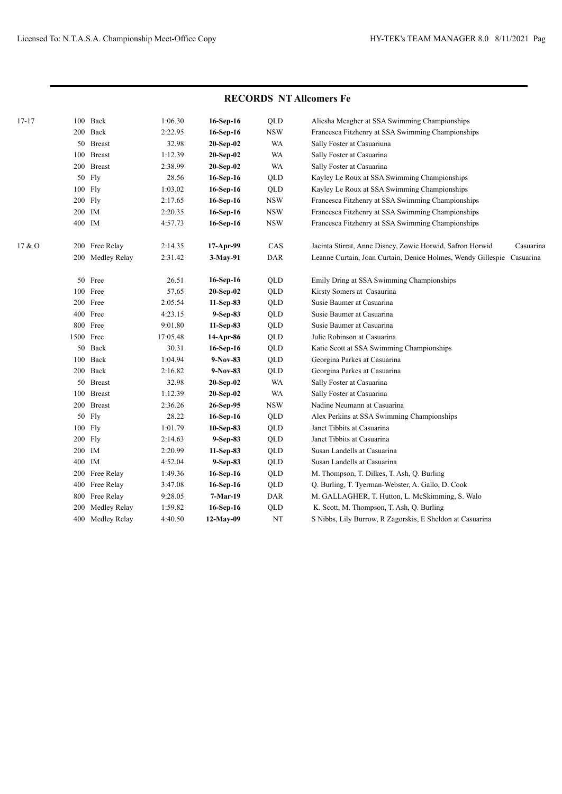| $17 - 17$ | 100       | Back             | 1:06.30  | 16-Sep-16   | QLD                         | Aliesha Meagher at SSA Swimming Championships                          |
|-----------|-----------|------------------|----------|-------------|-----------------------------|------------------------------------------------------------------------|
|           |           | 200 Back         | 2:22.95  | 16-Sep-16   | $_{\rm NSW}$                | Francesca Fitzhenry at SSA Swimming Championships                      |
|           |           | 50 Breast        | 32.98    | 20-Sep-02   | <b>WA</b>                   | Sally Foster at Casuariuna                                             |
|           | 100       | <b>Breast</b>    | 1:12.39  | 20-Sep-02   | <b>WA</b>                   | Sally Foster at Casuarina                                              |
|           |           | 200 Breast       | 2:38.99  | $20-Sep-02$ | <b>WA</b>                   | Sally Foster at Casuarina                                              |
|           | 50        | Fly              | 28.56    | 16-Sep-16   | <b>QLD</b>                  | Kayley Le Roux at SSA Swimming Championships                           |
|           | 100 Fly   |                  | 1:03.02  | 16-Sep-16   | QLD                         | Kayley Le Roux at SSA Swimming Championships                           |
|           | 200 Fly   |                  | 2:17.65  | 16-Sep-16   | <b>NSW</b>                  | Francesca Fitzhenry at SSA Swimming Championships                      |
|           | 200 IM    |                  | 2:20.35  | 16-Sep-16   | $_{\rm NSW}$                | Francesca Fitzhenry at SSA Swimming Championships                      |
|           | 400 IM    |                  | 4:57.73  | $16-Sep-16$ | <b>NSW</b>                  | Francesca Fitzhenry at SSA Swimming Championships                      |
| 17 & O    |           | 200 Free Relay   | 2:14.35  | 17-Apr-99   | CAS                         | Jacinta Stirrat, Anne Disney, Zowie Horwid, Safron Horwid<br>Casuarina |
|           |           | 200 Medley Relay | 2:31.42  | 3-May-91    | $\mathop{\sf DAR}\nolimits$ | Leanne Curtain, Joan Curtain, Denice Holmes, Wendy Gillespie Casuarina |
|           |           | 50 Free          | 26.51    | 16-Sep-16   | QLD                         | Emily Dring at SSA Swimming Championships                              |
|           |           | 100 Free         | 57.65    | $20-Sep-02$ | QLD                         | Kirsty Somers at Casaurina                                             |
|           |           | 200 Free         | 2:05.54  | $11-Sep-83$ | QLD                         | Susie Baumer at Casuarina                                              |
|           |           | 400 Free         | 4:23.15  | 9-Sep-83    | QLD                         | Susie Baumer at Casuarina                                              |
|           |           | 800 Free         | 9:01.80  | $11-Sep-83$ | QLD                         | Susie Baumer at Casuarina                                              |
|           | 1500 Free |                  | 17:05.48 | 14-Apr-86   | QLD                         | Julie Robinson at Casuarina                                            |
|           |           | 50 Back          | 30.31    | 16-Sep-16   | QLD                         | Katie Scott at SSA Swimming Championships                              |
|           |           | 100 Back         | 1:04.94  | 9-Nov-83    | QLD                         | Georgina Parkes at Casuarina                                           |
|           |           | 200 Back         | 2:16.82  | $9-Nov-83$  | QLD                         | Georgina Parkes at Casuarina                                           |
|           |           | 50 Breast        | 32.98    | $20-Sep-02$ | WA                          | Sally Foster at Casuarina                                              |
|           |           | 100 Breast       | 1:12.39  | $20-Sep-02$ | <b>WA</b>                   | Sally Foster at Casuarina                                              |
|           |           | 200 Breast       | 2:36.26  | 26-Sep-95   | <b>NSW</b>                  | Nadine Neumann at Casuarina                                            |
|           | 50        | Fly              | 28.22    | 16-Sep-16   | QLD                         | Alex Perkins at SSA Swimming Championships                             |
|           | 100 Fly   |                  | 1:01.79  | 10-Sep-83   | QLD                         | Janet Tibbits at Casuarina                                             |
|           | 200 Fly   |                  | 2:14.63  | 9-Sep-83    | QLD                         | Janet Tibbits at Casuarina                                             |
|           | 200       | IM               | 2:20.99  | 11-Sep-83   | QLD                         | Susan Landells at Casuarina                                            |
|           | 400       | IM               | 4:52.04  | 9-Sep-83    | QLD                         | Susan Landells at Casuarina                                            |
|           | 200       | Free Relay       | 1:49.36  | 16-Sep-16   | QLD                         | M. Thompson, T. Dilkes, T. Ash, Q. Burling                             |
|           | 400       | Free Relay       | 3:47.08  | 16-Sep-16   | QLD                         | Q. Burling, T. Tyerman-Webster, A. Gallo, D. Cook                      |
|           | 800       | Free Relay       | 9:28.05  | 7-Mar-19    | <b>DAR</b>                  | M. GALLAGHER, T. Hutton, L. McSkimming, S. Walo                        |
|           | 200       | Medley Relay     | 1:59.82  | 16-Sep-16   | QLD                         | K. Scott, M. Thompson, T. Ash, Q. Burling                              |
|           | 400       | Medley Relay     | 4:40.50  | 12-May-09   | $_{\rm NT}$                 | S Nibbs, Lily Burrow, R Zagorskis, E Sheldon at Casuarina              |
|           |           |                  |          |             |                             |                                                                        |